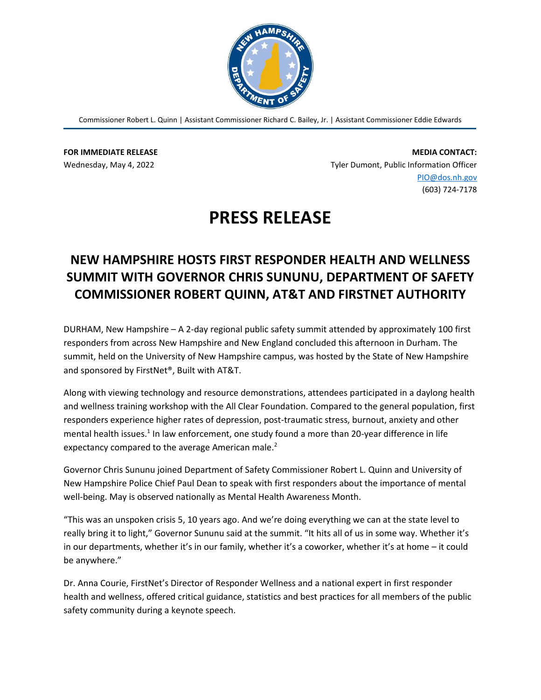

Commissioner Robert L. Quinn | Assistant Commissioner Richard C. Bailey, Jr. | Assistant Commissioner Eddie Edwards

**FOR IMMEDIATE RELEASE** Wednesday, May 4, 2022

**MEDIA CONTACT:** Tyler Dumont, Public Information Officer [PIO@dos.nh.gov](mailto:PIO@dos.nh.gov) (603) 724-7178

## **PRESS RELEASE**

## **NEW HAMPSHIRE HOSTS FIRST RESPONDER HEALTH AND WELLNESS SUMMIT WITH GOVERNOR CHRIS SUNUNU, DEPARTMENT OF SAFETY COMMISSIONER ROBERT QUINN, AT&T AND FIRSTNET AUTHORITY**

DURHAM, New Hampshire – A 2-day regional public safety summit attended by approximately 100 first responders from across New Hampshire and New England concluded this afternoon in Durham. The summit, held on the University of New Hampshire campus, was hosted by the State of New Hampshire and sponsored by FirstNet®, Built with AT&T.

Along with viewing technology and resource demonstrations, attendees participated in a daylong health and wellness training workshop with the All Clear Foundation. Compared to the general population, first responders experience higher rates of depression, post-traumatic stress, burnout, anxiety and other mental health issues.<sup>1</sup> In law enforcement, one study found a more than 20-year difference in life expectancy compared to the average American male.<sup>2</sup>

Governor Chris Sununu joined Department of Safety Commissioner Robert L. Quinn and University of New Hampshire Police Chief Paul Dean to speak with first responders about the importance of mental well-being. May is observed nationally as Mental Health Awareness Month.

"This was an unspoken crisis 5, 10 years ago. And we're doing everything we can at the state level to really bring it to light," Governor Sununu said at the summit. "It hits all of us in some way. Whether it's in our departments, whether it's in our family, whether it's a coworker, whether it's at home – it could be anywhere."

Dr. Anna Courie, FirstNet's Director of Responder Wellness and a national expert in first responder health and wellness, offered critical guidance, statistics and best practices for all members of the public safety community during a keynote speech.